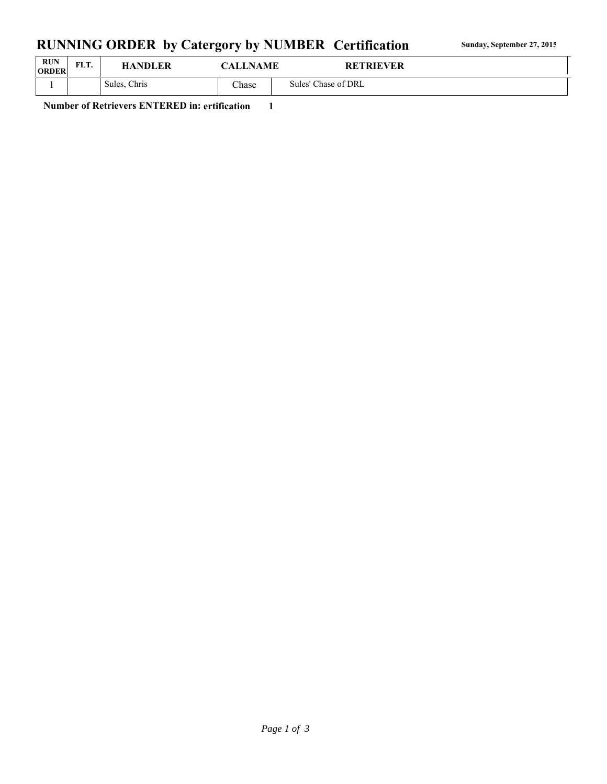## RUNNING ORDER by Catergory by NUMBER Certification **Sunday, September 27, 2015**

| <b>RUN</b><br><b>ORDER</b> | EL T<br>FLI. | <b>HANDLER</b> | <b>CALLNAME</b> | <b>RETRIEVER</b>    |  |
|----------------------------|--------------|----------------|-----------------|---------------------|--|
|                            |              | Sules, Chris   | <b>Chase</b>    | Sules' Chase of DRL |  |

**Number of Retrievers ENTERED in: ertification 1**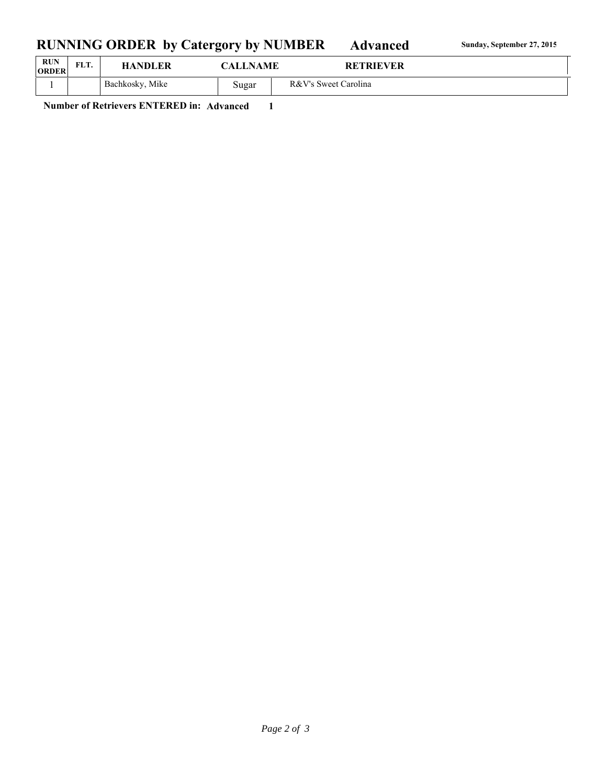## RUNNING ORDER by Catergory by NUMBER Advanced **Sunday, September 27, 2015**

| <b>RUN</b><br><b>ORDER</b> | FLT. | <b>HANDLER</b>  | <b>CALLNAME</b> | <b>RETRIEVER</b>     |
|----------------------------|------|-----------------|-----------------|----------------------|
|                            |      | Bachkosky, Mike | Sugar           | R&V's Sweet Carolina |

**Number of Retrievers ENTERED in: Advanced 1**